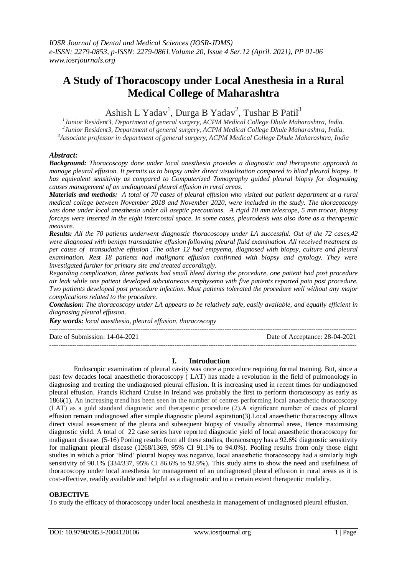# **A Study of Thoracoscopy under Local Anesthesia in a Rural Medical College of Maharashtra**

Ashish L Yadav<sup>1</sup>, Durga B Yadav<sup>2</sup>, Tushar B Patil<sup>3</sup>

*1 Junior Resident3, Department of general surgery, ACPM Medical College Dhule Maharashtra, India. 2 Junior Resident3, Department of general surgery, ACPM Medical College Dhule Maharashtra, India. <sup>3</sup>Associate professor in department of general surgery, ACPM Medical College Dhule Maharashtra, India*

### *Abstract:*

*Background: Thoracoscopy done under local anesthesia provides a diagnostic and therapeutic approach to manage pleural effusion. It permits us to biopsy under direct visualization compared to blind pleural biopsy. It has equivalent sensitivity as compared to Computerized Tomography guided pleural biopsy for diagnosing causes management of an undiagnosed pleural effusion in rural areas.* 

*Materials and methods:* A total of 70 cases of pleural effusion who visited out patient department at a rural *medical college between November 2018 and November 2020, were included in the study. The thoracoscopy was done under local anesthesia under all aseptic precautions. A rigid 10 mm telescope, 5 mm trocar, biopsy forceps were inserted in the eight intercostal space. In some cases, pleurodesis was also done as a therapeutic measure.*

*Results: All the 70 patients underwent diagnostic thoracoscopy under LA successful. Out of the 72 cases,42 were diagnosed with benign transudative effusion following pleural fluid examination. All received treatment as per cause of transudative effusion .The other 12 had empyema, diagnosed with biopsy, culture and pleural examination. Rest 18 patients had malignant effusion confirmed with biopsy and cytology. They were investigated further for primary site and treated accordingly.* 

*Regarding complication, three patients had small bleed during the procedure, one patient had post procedure air leak while one patient developed subcutaneous emphysema with five patients reported pain post procedure. Two patients developed post procedure infection. Most patients tolerated the procedure well without any major complications related to the procedure.*

*Conclusion: The thoracoscopy under LA appears to be relatively safe, easily available, and equally efficient in diagnosing pleural effusion.*

*Key words: local anesthesia, pleural effusion, thoracoscopy*

 $-1\leq i\leq n-1$ 

Date of Submission: 14-04-2021 Date of Acceptance: 28-04-2021 ---------------------------------------------------------------------------------------------------------------------------------------

### **I. Introduction**

Endoscopic examination of pleural cavity was once a procedure requiring formal training. But, since a past few decades local anaesthetic thoracoscopy ( LAT) has made a revolution in the field of pulmonology in diagnosing and treating the undiagnosed pleural effusion. It is increasing used in recent times for undiagnosed pleural effusion. Francis Richard Cruise in Ireland was probably the first to perform thoracoscopy as early as 1866(1). An increasing trend has been seen in the number of centres performing local anaesthetic thoracoscopy (LAT) as a gold standard diagnostic and therapeutic procedure (2).A significant number of cases of pleural effusion remain undiagnosed after simple diagnostic pleural aspiration(3).Local anaesthetic thoracoscopy allows direct visual assessment of the pleura and subsequent biopsy of visually abnormal areas, Hence maximising diagnostic yield. A total of 22 case series have reported diagnostic yield of local anaesthetic thoracoscopy for malignant disease. (5-16) Pooling results from all these studies, thoracoscopy has a 92.6% diagnostic sensitivity for malignant pleural disease (1268/1369, 95% CI 91.1% to 94.0%). Pooling results from only those eight studies in which a prior 'blind' pleural biopsy was negative, local anaesthetic thoracoscopy had a similarly high sensitivity of 90.1% (334/337, 95% CI 86.6% to 92.9%). This study aims to show the need and usefulness of thoracoscopy under local anesthesia for management of an undiagnosed pleural effusion in rural areas as it is cost-effective, readily available and helpful as a diagnostic and to a certain extent therapeutic modality.

#### **OBJECTIVE**

To study the efficacy of thoracoscopy under local anesthesia in management of undiagnosed pleural effusion.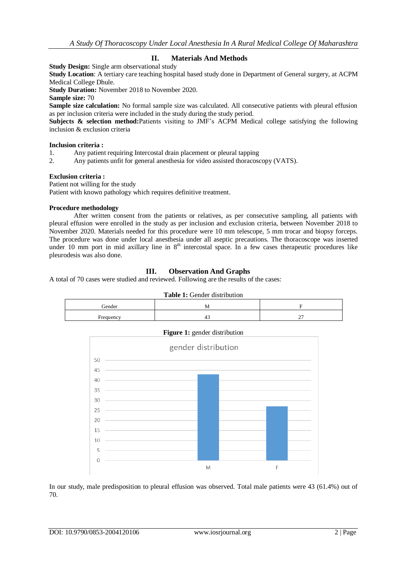## **II. Materials And Methods**

**Study Design:** Single arm observational study

**Study Location**: A tertiary care teaching hospital based study done in Department of General surgery, at ACPM Medical College Dhule.

**Study Duration:** November 2018 to November 2020.

**Sample size:** 70

**Sample size calculation:** No formal sample size was calculated. All consecutive patients with pleural effusion as per inclusion criteria were included in the study during the study period.

**Subjects & selection method:**Patients visiting to JMF's ACPM Medical college satisfying the following inclusion & exclusion criteria

#### **Inclusion criteria :**

1. Any patient requiring Intercostal drain placement or pleural tapping

2. Any patients unfit for general anesthesia for video assisted thoracoscopy (VATS).

#### **Exclusion criteria :**

Patient not willing for the study Patient with known pathology which requires definitive treatment.

#### **Procedure methodology**

After written consent from the patients or relatives, as per consecutive sampling, all patients with pleural effusion were enrolled in the study as per inclusion and exclusion criteria, between November 2018 to November 2020. Materials needed for this procedure were 10 mm telescope, 5 mm trocar and biopsy forceps. The procedure was done under local anesthesia under all aseptic precautions. The thoracoscope was inserted under 10 mm port in mid axillary line in  $8<sup>th</sup>$  intercostal space. In a few cases therapeutic procedures like pleurodesis was also done.

## **III. Observation And Graphs**

A total of 70 cases were studied and reviewed. Following are the results of the cases:

| <b>Table 1:</b> Gender distribution |   |  |  |
|-------------------------------------|---|--|--|
| Gender                              | м |  |  |
| Frequency                           |   |  |  |





In our study, male predisposition to pleural effusion was observed. Total male patients were 43 (61.4%) out of 70.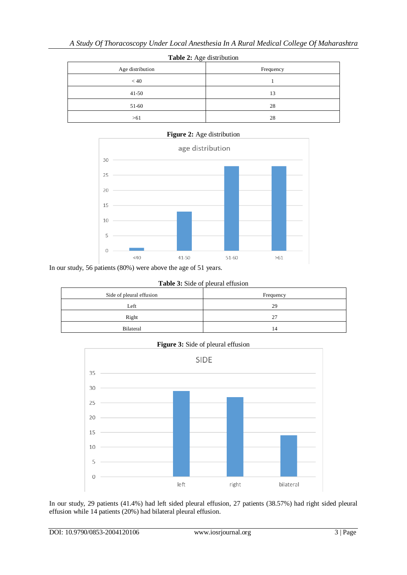| Table 2: Age distribution |           |  |
|---------------------------|-----------|--|
| Age distribution          | Frequency |  |
| < 40                      |           |  |
| $41 - 50$                 | 13        |  |
| 51-60                     | 28        |  |
| >61                       | 28        |  |



In our study, 56 patients (80%) were above the age of 51 years.

**Table 3:** Side of pleural effusion

| Side of pleural effusion | Frequency |  |
|--------------------------|-----------|--|
| Left                     | 29        |  |
| Right                    | 27        |  |
| <b>Bilateral</b>         | 14        |  |

**Figure 3:** Side of pleural effusion



In our study, 29 patients (41.4%) had left sided pleural effusion, 27 patients (38.57%) had right sided pleural effusion while 14 patients (20%) had bilateral pleural effusion.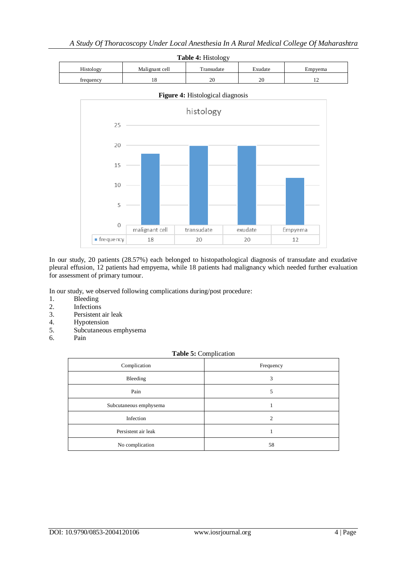![](_page_3_Figure_1.jpeg)

![](_page_3_Figure_2.jpeg)

In our study, 20 patients (28.57%) each belonged to histopathological diagnosis of transudate and exudative pleural effusion, 12 patients had empyema, while 18 patients had malignancy which needed further evaluation for assessment of primary tumour.

In our study, we observed following complications during/post procedure:

- 1. Bleeding
- 2. Infections
- 3. Persistent air leak
- 4. Hypotension
- 5. Subcutaneous emphysema
- 6. Pain

**Table 5:** Complication

| Complication           | Frequency |
|------------------------|-----------|
| Bleeding               | 3         |
| Pain                   | 5         |
| Subcutaneous emphysema |           |
| Infection              | ↑         |
| Persistent air leak    |           |
| No complication        | 58        |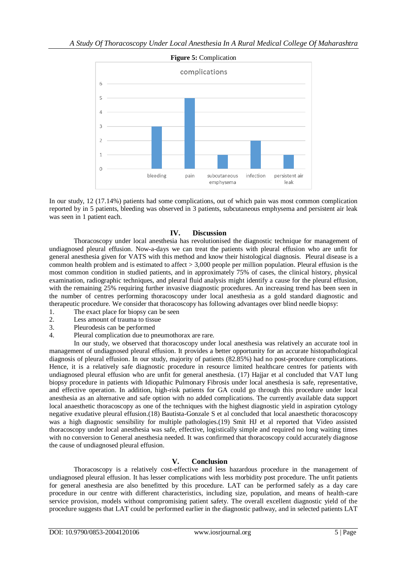![](_page_4_Figure_1.jpeg)

In our study, 12 (17.14%) patients had some complications, out of which pain was most common complication reported by in 5 patients, bleeding was observed in 3 patients, subcutaneous emphysema and persistent air leak was seen in 1 patient each.

## **IV. Discussion**

Thoracoscopy under local anesthesia has revolutionised the diagnostic technique for management of undiagnosed pleural effusion. Now-a-days we can treat the patients with pleural effusion who are unfit for general anesthesia given for VATS with this method and know their histological diagnosis. Pleural disease is a common health problem and is estimated to affect > 3,000 people per million population. Pleural effusion is the most common condition in studied patients, and in approximately 75% of cases, the clinical history, physical examination, radiographic techniques, and pleural fluid analysis might identify a cause for the pleural effusion, with the remaining 25% requiring further invasive diagnostic procedures. An increasing trend has been seen in the number of centres performing thoracoscopy under local anesthesia as a gold standard diagnostic and therapeutic procedure. We consider that thoracoscopy has following advantages over blind needle biopsy:

- 1. The exact place for biopsy can be seen
- 2. Less amount of trauma to tissue
- 3. Pleurodesis can be performed
- 4. Pleural complication due to pneumothorax are rare.

In our study, we observed that thoracoscopy under local anesthesia was relatively an accurate tool in management of undiagnosed pleural effusion. It provides a better opportunity for an accurate histopathological diagnosis of pleural effusion. In our study, majority of patients (82.85%) had no post-procedure complications. Hence, it is a relatively safe diagnostic procedure in resource limited healthcare centres for patients with undiagnosed pleural effusion who are unfit for general anesthesia. (17) Hajjar et al concluded that VAT lung biopsy procedure in patients with Idiopathic Pulmonary Fibrosis under local anesthesia is safe, representative, and effective operation. In addition, high-risk patients for GA could go through this procedure under local anesthesia as an alternative and safe option with no added complications. The currently available data support local anaesthetic thoracoscopy as one of the techniques with the highest diagnostic yield in aspiration cytology negative exudative pleural effusion.(18) Bautista-Gonzale S et al concluded that local anaesthetic thoracoscopy was a high diagnostic sensibility for multiple pathologies.(19) Smit HJ et al reported that Video assisted thoracoscopy under local anesthesia was safe, effective, logistically simple and required no long waiting times with no conversion to General anesthesia needed. It was confirmed that thoracoscopy could accurately diagnose the cause of undiagnosed pleural effusion.

## **V. Conclusion**

Thoracoscopy is a relatively cost-effective and less hazardous procedure in the management of undiagnosed pleural effusion. It has lesser complications with less morbidity post procedure. The unfit patients for general anesthesia are also benefitted by this procedure. LAT can be performed safely as a day care procedure in our centre with different characteristics, including size, population, and means of health-care service provision, models without compromising patient safety. The overall excellent diagnostic yield of the procedure suggests that LAT could be performed earlier in the diagnostic pathway, and in selected patients LAT